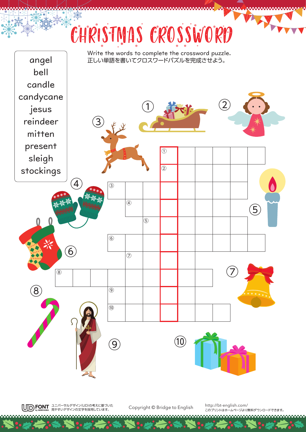## CHRISTMAS CROSSWORD



ユニバーサルデザイン(UD)の考えに基づいた 見やすいデザインの文字を採用しています。 

Copyright © Bridge to English http://bt-english.com/

このプリントはホームページより無料ダウンロードできます。

**Antonio Solo**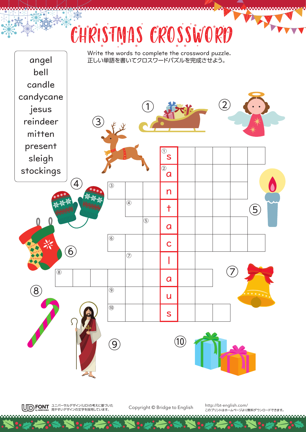## CHRISTMAS CROSSWORD



ユニバーサルデザイン(UD)の考えに基づいた 見やすいデザインの文字を採用しています。 

Copyright © Bridge to English http://bt-english.com/

このプリントはホームページより無料ダウンロードできます。

**Antonio Solo**